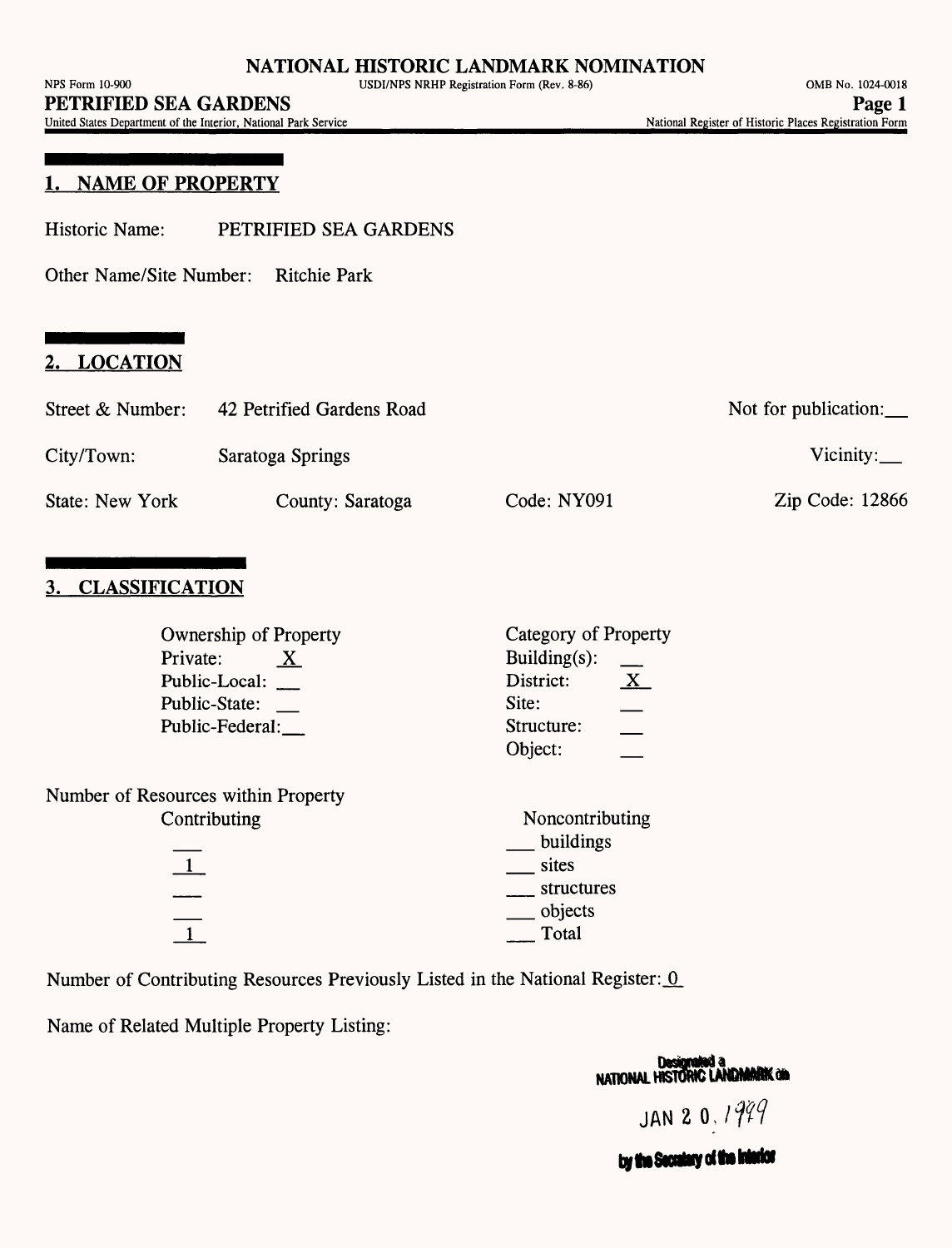United States Department of the Interior, National Park Service\_\_\_\_\_\_\_\_\_\_\_\_\_\_\_\_\_\_\_\_\_\_\_\_\_\_\_\_\_\_\_National Register of Historic Places Registration Form

#### 1. NAME **OF PROPERTY**

Historic Name: PETRIFIED SEA GARDENS

Other Name/Site Number: Ritchie Park

#### **2. LOCATION**

| Street & Number: | 42 Petrified Gardens Road |             | Not for publication: $\_\_$ |
|------------------|---------------------------|-------------|-----------------------------|
| City/Town:       | Saratoga Springs          |             | Vicinity: $\_\_$            |
| State: New York  | County: Saratoga          | Code: NY091 | Zip Code: 12866             |

## **3. CLASSIFICATION**

| Ownership of Property               | Category of Property          |  |  |
|-------------------------------------|-------------------------------|--|--|
| Private:<br>$\mathbf{X}$            | Building $(s)$ :              |  |  |
| Public-Local:                       | $\mathbf{X}_{-}$<br>District: |  |  |
| Public-State:                       | Site:                         |  |  |
| Public-Federal:                     | Structure:                    |  |  |
|                                     | Object:                       |  |  |
| Number of Resources within Property |                               |  |  |
| Contributing                        | Noncontributing               |  |  |
|                                     | buildings                     |  |  |
|                                     | sites                         |  |  |
|                                     | structures                    |  |  |
|                                     | $\sim$ objects                |  |  |
|                                     | Total                         |  |  |
|                                     |                               |  |  |

Number of Contributing Resources Previously Listed in the National Register: 0

Name of Related Multiple Property Listing:

**Designated a**<br>NATIONAL HISTORIC LANDMARK and JAN 2 0,  $1999$ by the Secretary of the Interior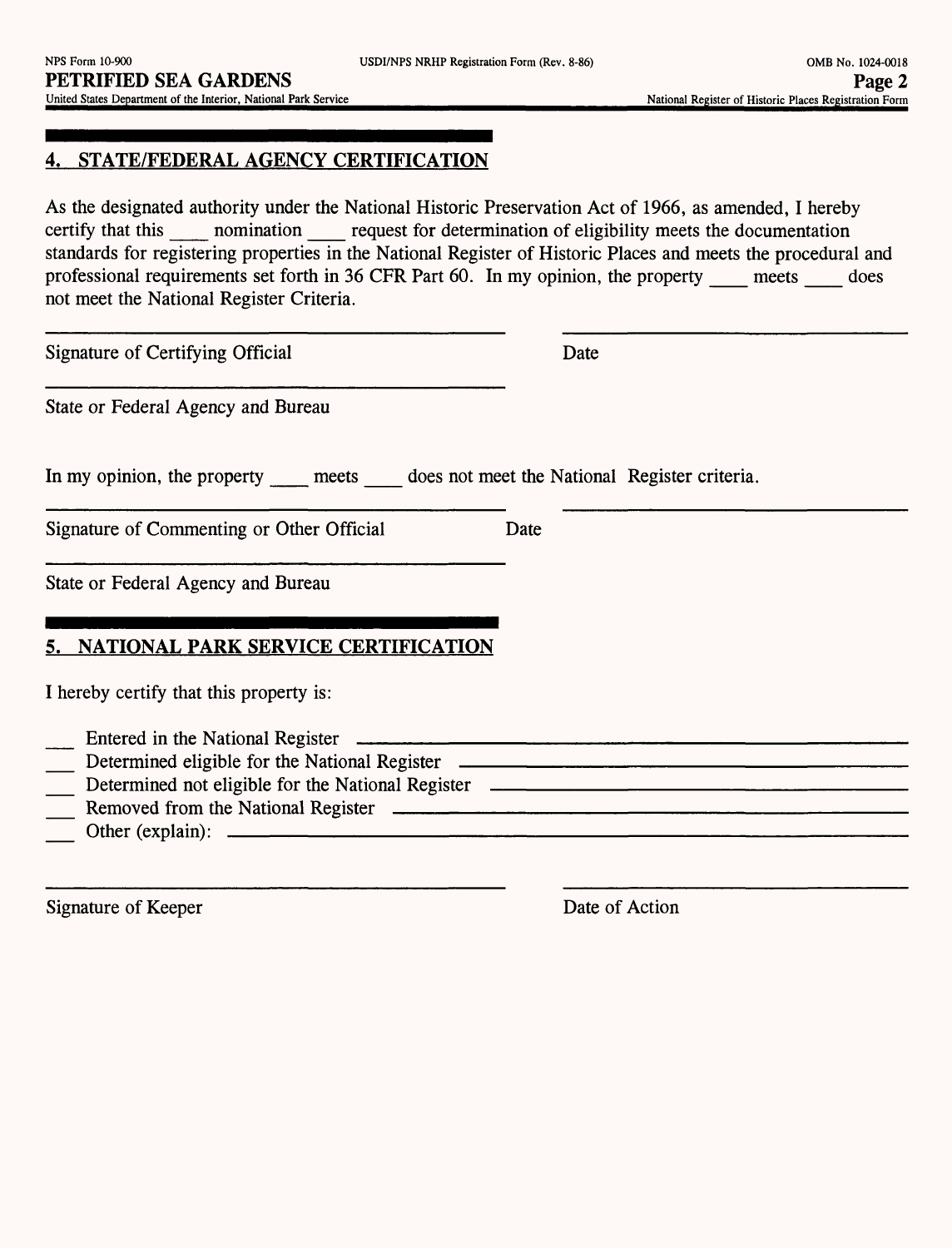## **4. STATE/FEDERAL AGENCY CERTIFICATION**

As the designated authority under the National Historic Preservation Act of 1966, as amended, I hereby certify that this nomination request for determination of eligibility meets the documentation standards for registering properties in the National Register of Historic Places and meets the procedural and professional requirements set forth in 36 CFR Part 60. In my opinion, the property meets does not meet the National Register Criteria.

Signature of Certifying Official Date

State or Federal Agency and Bureau

In my opinion, the property meets does not meet the National Register criteria.

Signature of Commenting or Other Official Date

State or Federal Agency and Bureau

## **5. NATIONAL PARK SERVICE CERTIFICATION**

I hereby certify that this property is:

- \_ Entered in the National Register \_\_\_\_\_\_\_\_\_\_\_\_
- Determined eligible for the National Register \_
- Determined not eligible for the National Register
- Removed from the National Register
- Other (explain): \_\_\_\_\_\_\_\_\_\_\_\_\_\_\_\_

Signature of Keeper Date of Action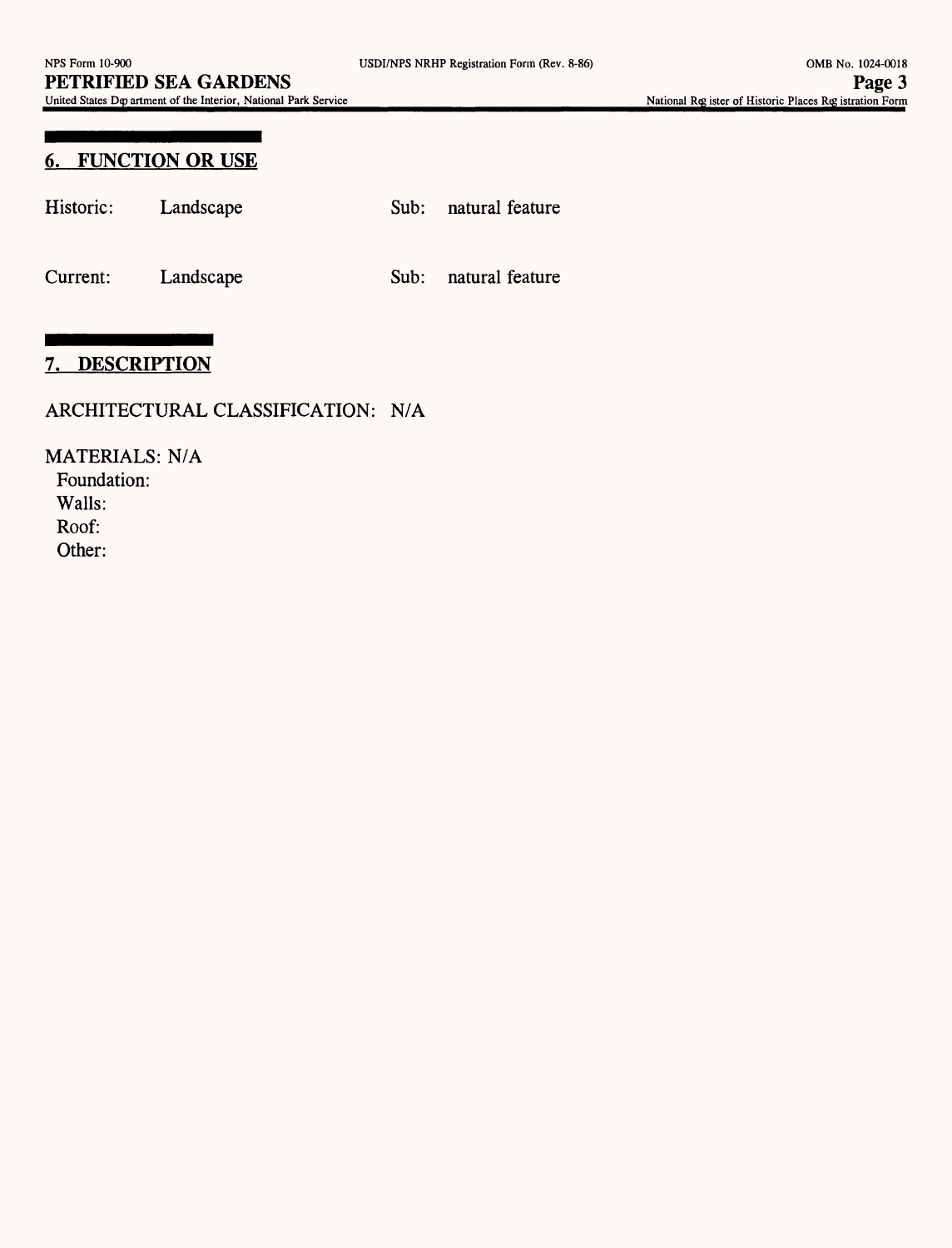#### **6. FUNCTION OR USE**

| Historic: Landscape |  | Sub: natural feature |
|---------------------|--|----------------------|
| Current: Landscape  |  | Sub: natural feature |

# **7. DESCRIPTION**

#### ARCHITECTURAL CLASSIFICATION: N/A

MATERIALS: N/A Foundation:

Walls:

Roof:

Other: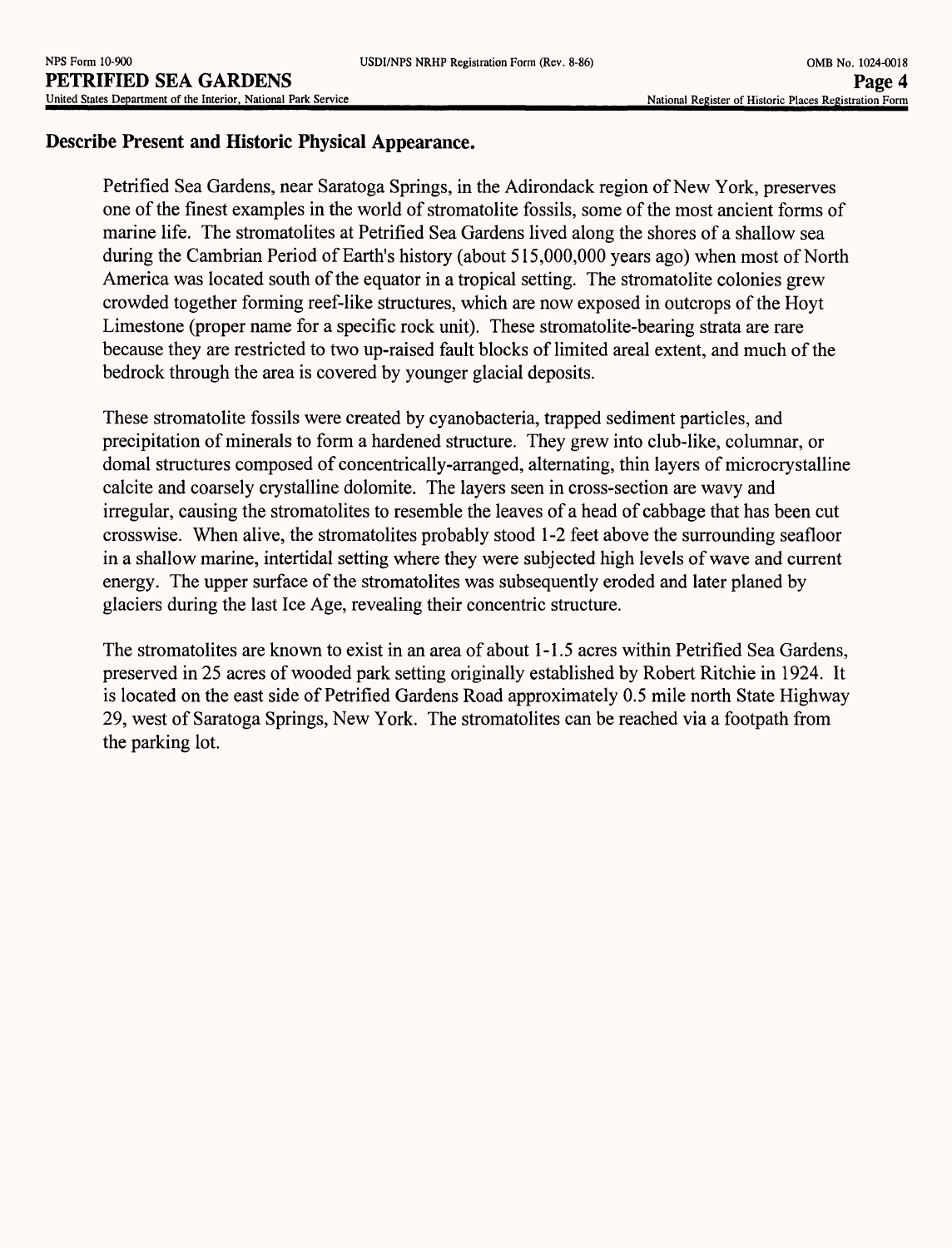#### **Describe Present and Historic Physical Appearance.**

Petrified Sea Gardens, near Saratoga Springs, in the Adirondack region of New York, preserves one of the finest examples in the world of stromatolite fossils, some of the most ancient forms of marine life. The stromatolites at Petrified Sea Gardens lived along the shores of a shallow sea during the Cambrian Period of Earth's history (about 515,000,000 years ago) when most of North America was located south of the equator in a tropical setting. The stromatolite colonies grew crowded together forming reef-like structures, which are now exposed in outcrops of the Hoyt Limestone (proper name for a specific rock unit). These stromatolite-bearing strata are rare because they are restricted to two up-raised fault blocks of limited areal extent, and much of the bedrock through the area is covered by younger glacial deposits.

These stromatolite fossils were created by cyanobacteria, trapped sediment particles, and precipitation of minerals to form a hardened structure. They grew into club-like, columnar, or domal structures composed of concentrically-arranged, alternating, thin layers of microcrystalline calcite and coarsely crystalline dolomite. The layers seen in cross-section are wavy and irregular, causing the stromatolites to resemble the leaves of a head of cabbage that has been cut crosswise. When alive, the stromatolites probably stood 1-2 feet above the surrounding seafloor in a shallow marine, intertidal setting where they were subjected high levels of wave and current energy. The upper surface of the stromatolites was subsequently eroded and later planed by glaciers during the last Ice Age, revealing their concentric structure.

The stromatolites are known to exist in an area of about 1-1 .5 acres within Petrified Sea Gardens, preserved in 25 acres of wooded park setting originally established by Robert Ritchie in 1924. It is located on the east side of Petrified Gardens Road approximately 0.5 mile north State Highway 29, west of Saratoga Springs, New York. The stromatolites can be reached via a footpath from the parking lot.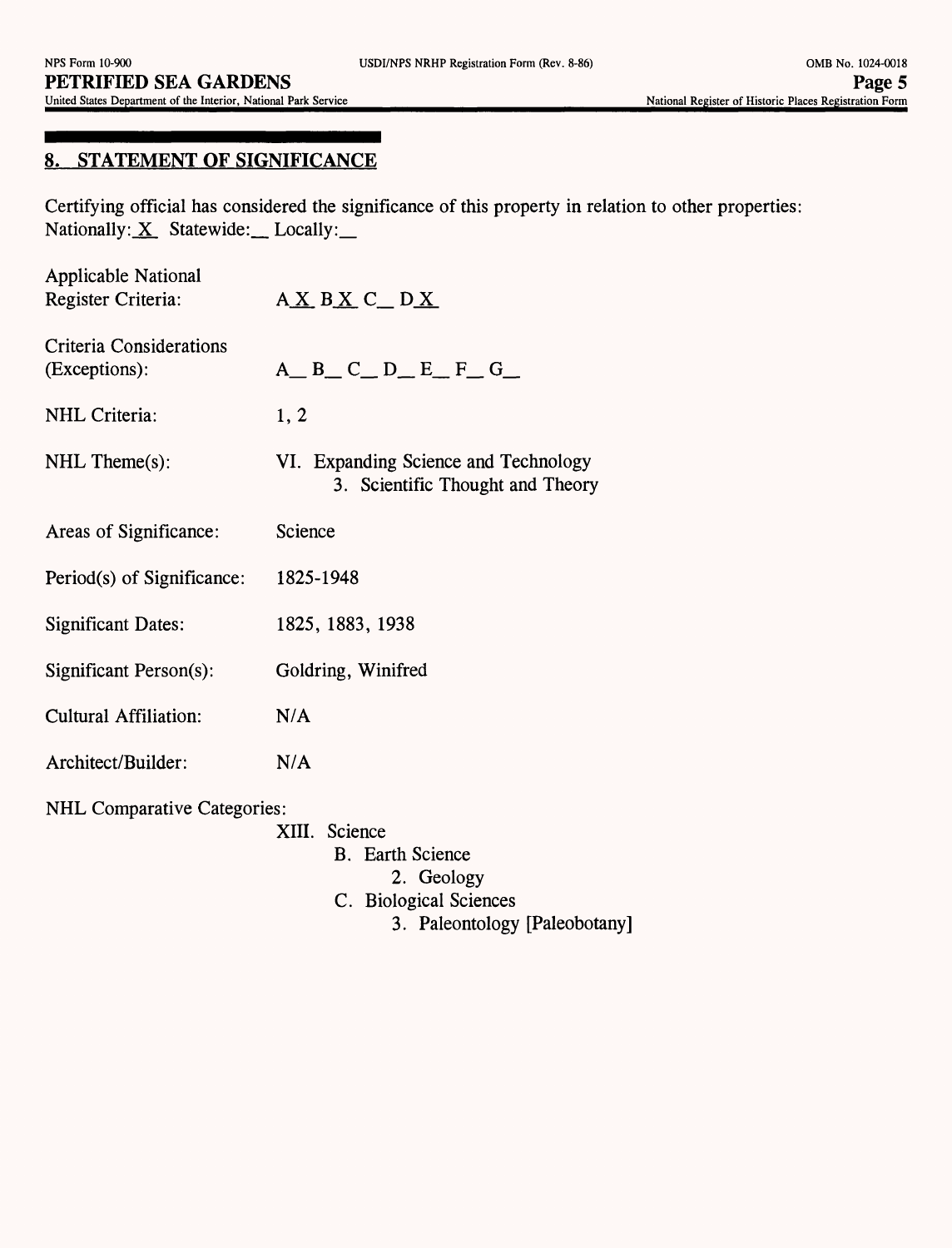#### **8. STATEMENT OF SIGNIFICANCE**

Certifying official has considered the significance of this property in relation to other properties: Nationally:  $\underline{X}$  Statewide: Locally:

| <b>Applicable National</b><br>Register Criteria: | AXBXCDX                                                                                                                 |
|--------------------------------------------------|-------------------------------------------------------------------------------------------------------------------------|
| Criteria Considerations<br>(Exceptions):         | $A$ <sub><math>B</math></sub> $C$ <sub><math>D</math></sub> $E$ <sub><math>F</math></sub> $G$ <sub><math>-</math></sub> |
| <b>NHL</b> Criteria:                             | 1, 2                                                                                                                    |
| $\text{NHL}$ Theme $(s)$ :                       | VI. Expanding Science and Technology<br>3. Scientific Thought and Theory                                                |
| Areas of Significance:                           | Science                                                                                                                 |
| Period(s) of Significance:                       | 1825-1948                                                                                                               |
| <b>Significant Dates:</b>                        | 1825, 1883, 1938                                                                                                        |
| Significant Person(s):                           | Goldring, Winifred                                                                                                      |
| <b>Cultural Affiliation:</b>                     | N/A                                                                                                                     |
| Architect/Builder:                               | N/A                                                                                                                     |
| <b>NHL Comparative Categories:</b>               | XIII. Science<br><b>B.</b> Earth Science<br>2. Geology<br>C. Biological Sciences<br>3. Paleontology [Paleobotany]       |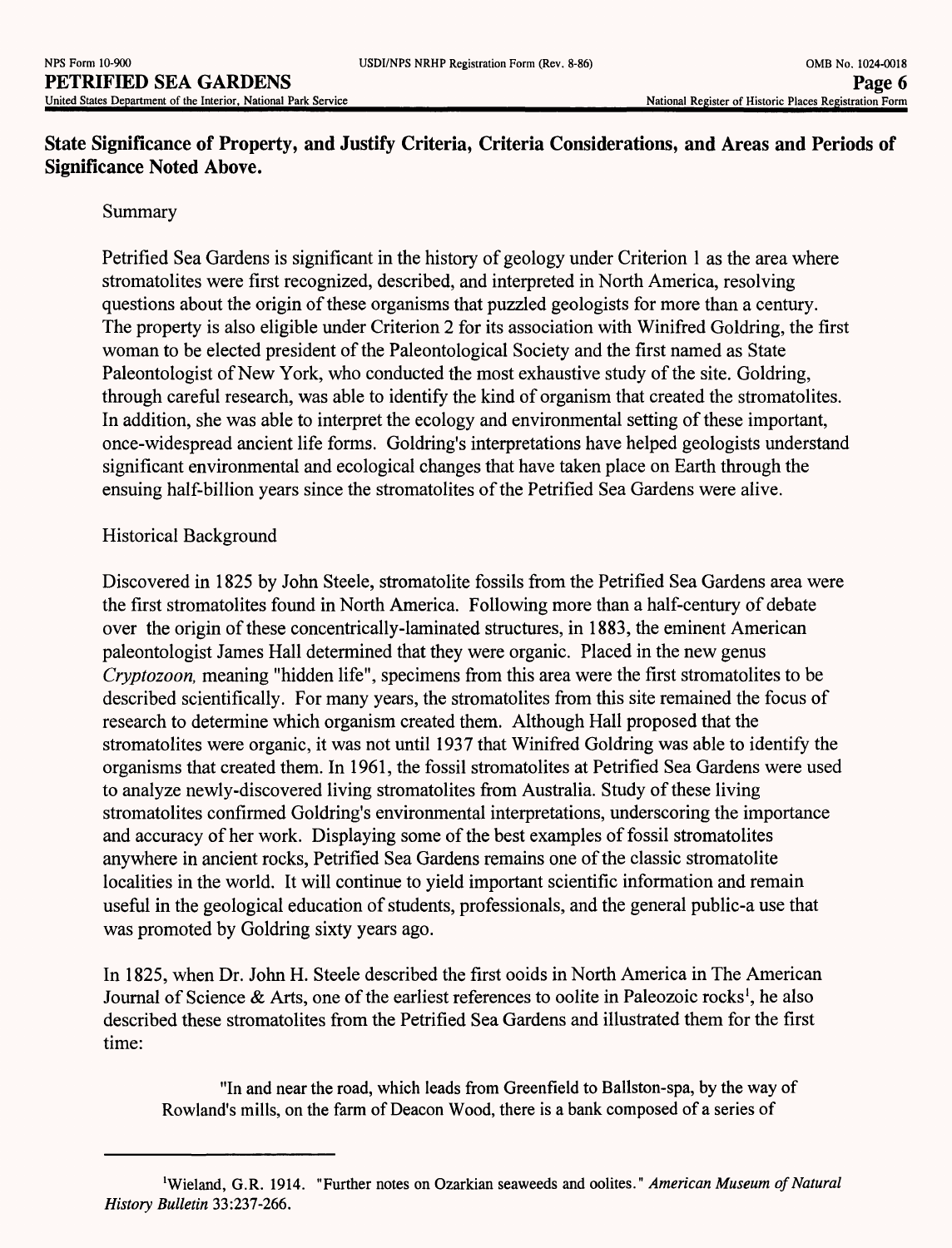### **State Significance of Property, and Justify Criteria, Criteria Considerations, and Areas and Periods of Significance Noted Above.**

#### Summary

Petrified Sea Gardens is significant in the history of geology under Criterion 1 as the area where stromatolites were first recognized, described, and interpreted in North America, resolving questions about the origin of these organisms that puzzled geologists for more than a century. The property is also eligible under Criterion 2 for its association with Winifred Goldring, the first woman to be elected president of the Paleontological Society and the first named as State Paleontologist of New York, who conducted the most exhaustive study of the site. Goldring, through careful research, was able to identify the kind of organism that created the stromatolites. In addition, she was able to interpret the ecology and environmental setting of these important, once-widespread ancient life forms. Goldring's interpretations have helped geologists understand significant environmental and ecological changes that have taken place on Earth through the ensuing half-billion years since the stromatolites of the Petrified Sea Gardens were alive.

#### Historical Background

Discovered in 1825 by John Steele, stromatolite fossils from the Petrified Sea Gardens area were the first stromatolites found in North America. Following more than a half-century of debate over the origin of these concentrically-laminated structures, in 1883, the eminent American paleontologist James Hall determined that they were organic. Placed in the new genus *Cryptozoon,* meaning "hidden life", specimens from this area were the first stromatolites to be described scientifically. For many years, the stromatolites from this site remained the focus of research to determine which organism created them. Although Hall proposed that the stromatolites were organic, it was not until 1937 that Winifred Goldring was able to identify the organisms that created them. In 1961, the fossil stromatolites at Petrified Sea Gardens were used to analyze newly-discovered living stromatolites from Australia. Study of these living stromatolites confirmed Goldring's environmental interpretations, underscoring the importance and accuracy of her work. Displaying some of the best examples of fossil stromatolites anywhere in ancient rocks, Petrified Sea Gardens remains one of the classic stromatolite localities in the world. It will continue to yield important scientific information and remain useful in the geological education of students, professionals, and the general public-a use that was promoted by Goldring sixty years ago.

In 1825, when Dr. John H. Steele described the first ooids in North America in The American Journal of Science & Arts, one of the earliest references to oolite in Paleozoic rocks<sup>1</sup>, he also described these stromatolites from the Petrified Sea Gardens and illustrated them for the first time:

"In and near the road, which leads from Greenfield to Ballston-spa, by the way of Rowland's mills, on the farm of Deacon Wood, there is a bank composed of a series of

<sup>&#</sup>x27;Wieland, G.R. 1914. "Further notes on Ozarkian seaweeds and oolites." *American Museum of Natural History Bulletin* 33:237-266.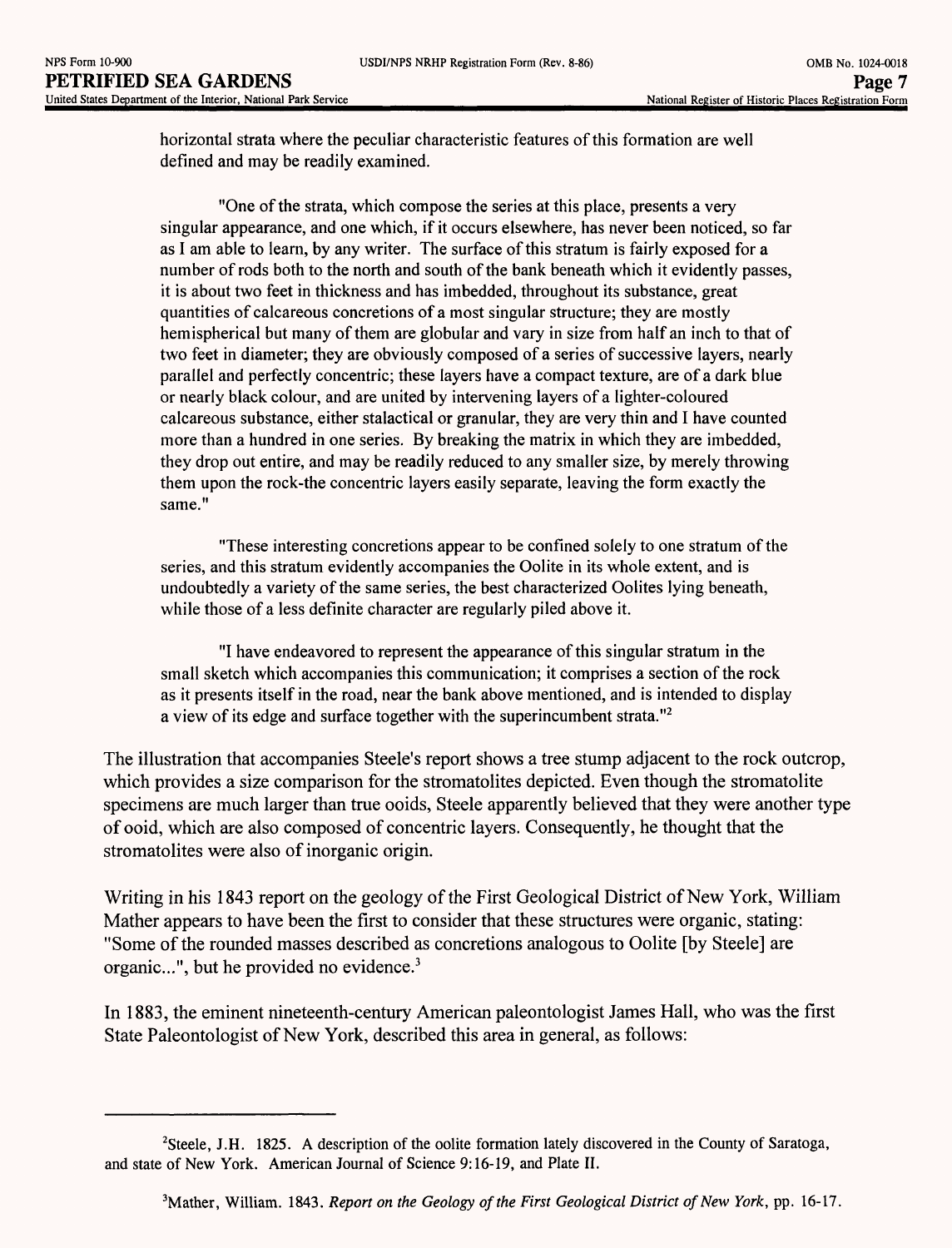horizontal strata where the peculiar characteristic features of this formation are well defined and may be readily examined.

"One of the strata, which compose the series at this place, presents a very singular appearance, and one which, if it occurs elsewhere, has never been noticed, so far as I am able to learn, by any writer. The surface of this stratum is fairly exposed for a number of rods both to the north and south of the bank beneath which it evidently passes, it is about two feet in thickness and has imbedded, throughout its substance, great quantities of calcareous concretions of a most singular structure; they are mostly hemispherical but many of them are globular and vary in size from half an inch to that of two feet in diameter; they are obviously composed of a series of successive layers, nearly parallel and perfectly concentric; these layers have a compact texture, are of a dark blue or nearly black colour, and are united by intervening layers of a lighter-coloured calcareous substance, either stalactical or granular, they are very thin and I have counted more than a hundred in one series. By breaking the matrix in which they are imbedded, they drop out entire, and may be readily reduced to any smaller size, by merely throwing them upon the rock-the concentric layers easily separate, leaving the form exactly the same."

"These interesting concretions appear to be confined solely to one stratum of the series, and this stratum evidently accompanies the Oolite in its whole extent, and is undoubtedly a variety of the same series, the best characterized Oolites lying beneath, while those of a less definite character are regularly piled above it.

"I have endeavored to represent the appearance of this singular stratum in the small sketch which accompanies this communication; it comprises a section of the rock as it presents itself in the road, near the bank above mentioned, and is intended to display a view of its edge and surface together with the superincumbent strata."2

The illustration that accompanies Steele's report shows a tree stump adjacent to the rock outcrop, which provides a size comparison for the stromatolites depicted. Even though the stromatolite specimens are much larger than true ooids, Steele apparently believed that they were another type of ooid, which are also composed of concentric layers. Consequently, he thought that the stromatolites were also of inorganic origin.

Writing in his 1843 report on the geology of the First Geological District of New York, William Mather appears to have been the first to consider that these structures were organic, stating: "Some of the rounded masses described as concretions analogous to Oolite [by Steele] are organic...", but he provided no evidence.<sup>3</sup>

In 1883, the eminent nineteenth-century American paleontologist James Hall, who was the first State Paleontologist of New York, described this area in general, as follows:

<sup>2</sup>Steele, J.H. 1825. A description of the oolite formation lately discovered in the County of Saratoga, and state of New York. American Journal of Science 9:16-19, and Plate II.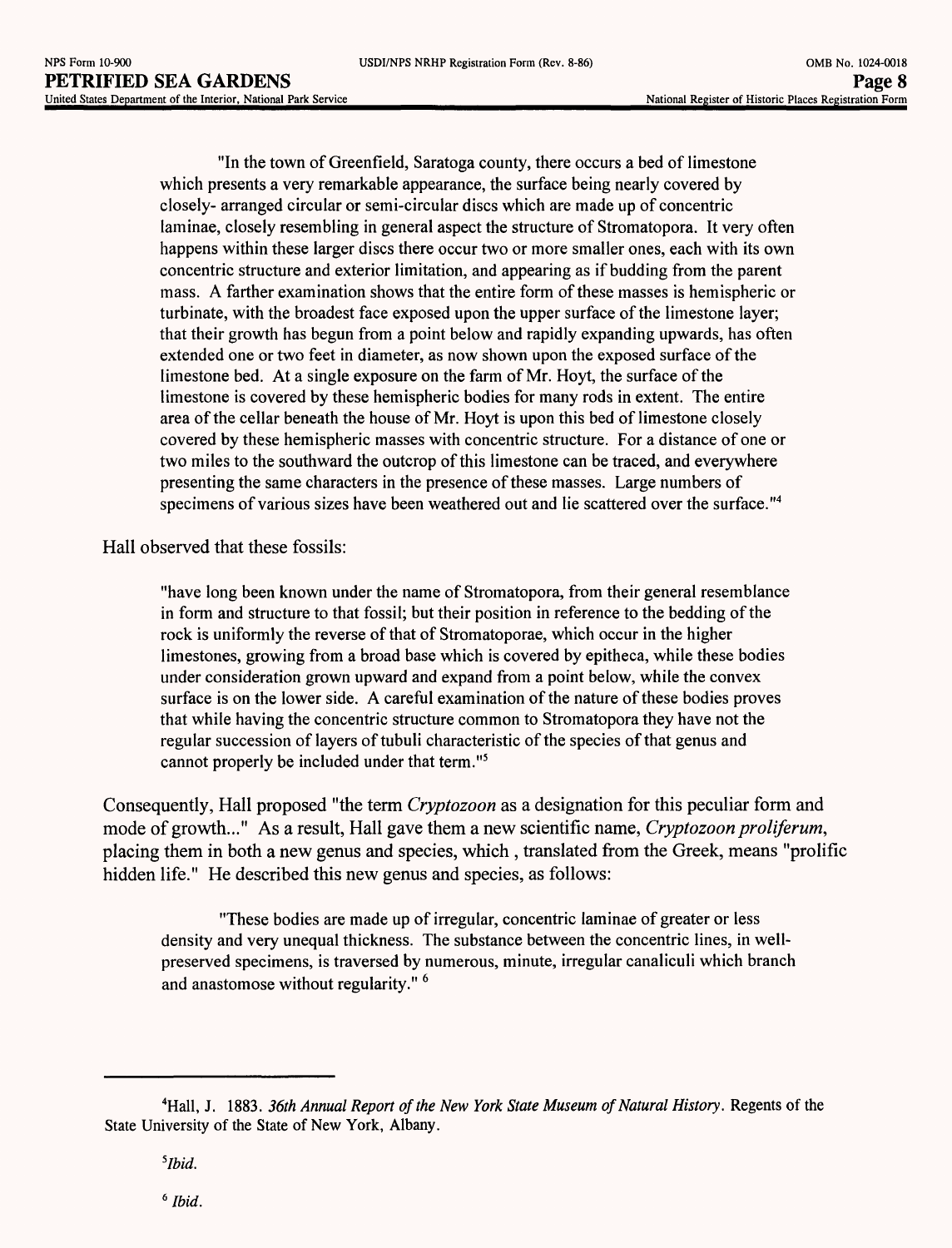"In the town of Greenfield, Saratoga county, there occurs a bed of limestone which presents a very remarkable appearance, the surface being nearly covered by closely- arranged circular or semi-circular discs which are made up of concentric laminae, closely resembling in general aspect the structure of Stromatopora. It very often happens within these larger discs there occur two or more smaller ones, each with its own concentric structure and exterior limitation, and appearing as if budding from the parent mass. A farther examination shows that the entire form of these masses is hemispheric or turbinate, with the broadest face exposed upon the upper surface of the limestone layer; that their growth has begun from a point below and rapidly expanding upwards, has often extended one or two feet in diameter, as now shown upon the exposed surface of the limestone bed. At a single exposure on the farm of Mr. Hoyt, the surface of the limestone is covered by these hemispheric bodies for many rods in extent. The entire area of the cellar beneath the house of Mr. Hoyt is upon this bed of limestone closely covered by these hemispheric masses with concentric structure. For a distance of one or two miles to the southward the outcrop of this limestone can be traced, and everywhere presenting the same characters in the presence of these masses. Large numbers of specimens of various sizes have been weathered out and lie scattered over the surface."4

Hall observed that these fossils:

"have long been known under the name of Stromatopora, from their general resemblance in form and structure to that fossil; but their position in reference to the bedding of the rock is uniformly the reverse of that of Stromatoporae, which occur in the higher limestones, growing from a broad base which is covered by epitheca, while these bodies under consideration grown upward and expand from a point below, while the convex surface is on the lower side. A careful examination of the nature of these bodies proves that while having the concentric structure common to Stromatopora they have not the regular succession of layers of tubuli characteristic of the species of that genus and cannot properly be included under that term."5

Consequently, Hall proposed "the term *Cryptozoon* as a designation for this peculiar form and mode of growth..." As a result, Hall gave them a new scientific name, *Cryptozoon proliferum,*  placing them in both a new genus and species, which, translated from the Greek, means "prolific hidden life." He described this new genus and species, as follows:

"These bodies are made up of irregular, concentric laminae of greater or less density and very unequal thickness. The substance between the concentric lines, in wellpreserved specimens, is traversed by numerous, minute, irregular canaliculi which branch and anastomose without regularity." <sup>6</sup>

*6 Ibid.*

<sup>&</sup>lt;sup>4</sup>Hall, J. 1883. *36th Annual Report of the New York State Museum of Natural History.* Regents of the State University of the State of New York, Albany.

*<sup>5</sup>Ibid.*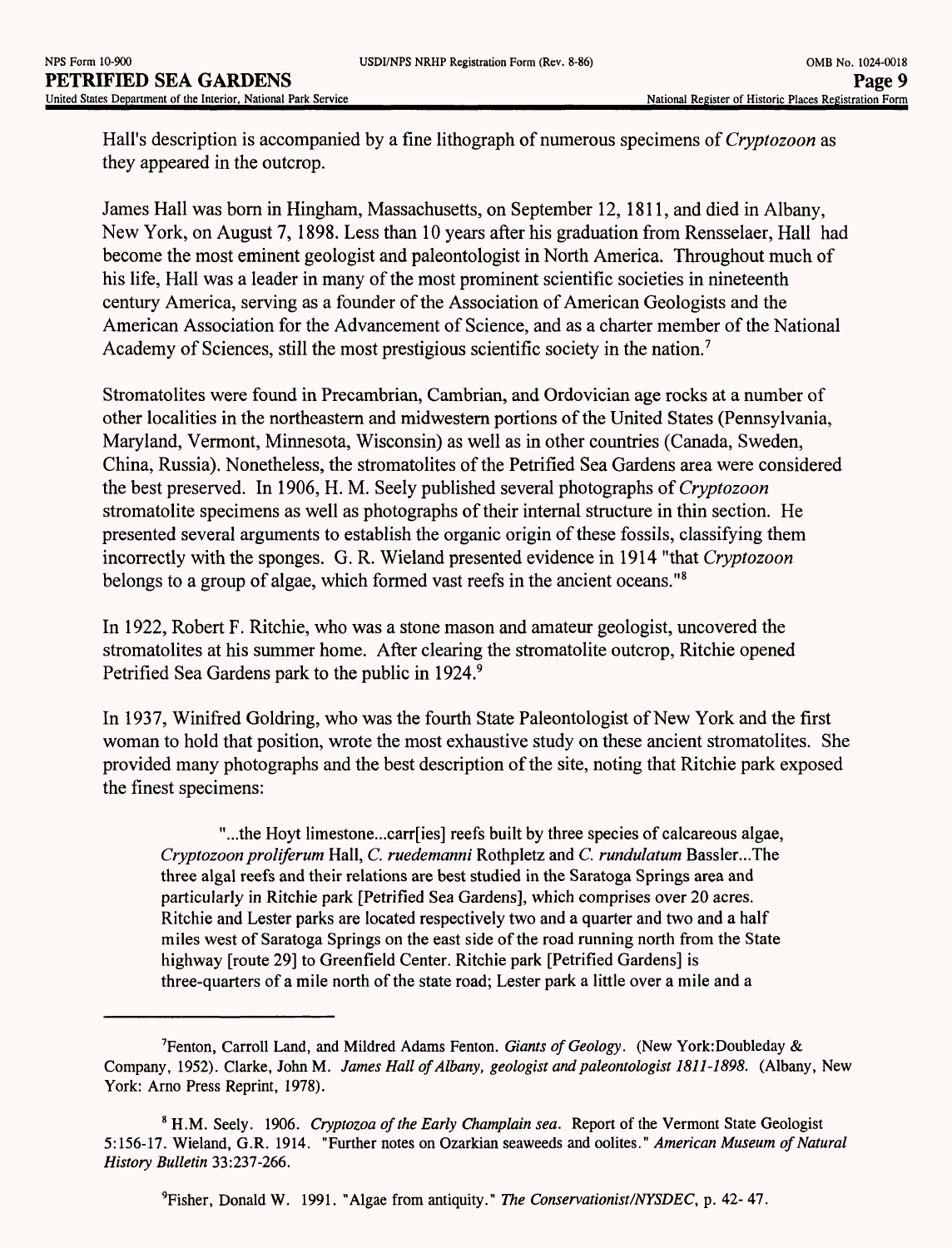Hall's description is accompanied by a fine lithograph of numerous specimens of *Cryptozoon* as they appeared in the outcrop.

James Hall was born in Hingham, Massachusetts, on September 12, 1811, and died in Albany, New York, on August 7,1898. Less than 10 years after his graduation from Rensselaer, Hall had become the most eminent geologist and paleontologist in North America. Throughout much of his life, Hall was a leader in many of the most prominent scientific societies in nineteenth century America, serving as a founder of the Association of American Geologists and the American Association for the Advancement of Science, and as a charter member of the National Academy of Sciences, still the most prestigious scientific society in the nation.<sup>7</sup>

Stromatolites were found in Precambrian, Cambrian, and Ordovician age rocks at a number of other localities in the northeastern and midwestern portions of the United States (Pennsylvania, Maryland, Vermont, Minnesota, Wisconsin) as well as in other countries (Canada, Sweden, China, Russia). Nonetheless, the stromatolites of the Petrified Sea Gardens area were considered the best preserved. In 1906, H. M. Seely published several photographs of Cryptozoon stromatolite specimens as well as photographs of their internal structure in thin section. He presented several arguments to establish the organic origin of these fossils, classifying them incorrectly with the sponges. G. R. Wieland presented evidence in 1914 "that *Cryptozoon*  belongs to a group of algae, which formed vast reefs in the ancient oceans."<sup>8</sup>

In 1922, Robert F. Ritchie, who was a stone mason and amateur geologist, uncovered the stromatolites at his summer home. After clearing the stromatolite outcrop, Ritchie opened Petrified Sea Gardens park to the public in 1924.<sup>9</sup>

In 1937, Winifred Goldring, who was the fourth State Paleontologist of New York and the first woman to hold that position, wrote the most exhaustive study on these ancient stromatolites. She provided many photographs and the best description of the site, noting that Ritchie park exposed the finest specimens:

"...the Hoyt limestone...carr[ies] reefs built by three species of calcareous algae, *Cryptozoonproliferum* Hall, *C. ruedemanni* Rothpletz and *C. rundulatum* Bassler...The three algal reefs and their relations are best studied in the Saratoga Springs area and particularly in Ritchie park [Petrified Sea Gardens], which comprises over 20 acres. Ritchie and Lester parks are located respectively two and a quarter and two and a half miles west of Saratoga Springs on the east side of the road running north from the State highway [route 29] to Greenfield Center. Ritchie park [Petrified Gardens] is three-quarters of a mile north of the state road; Lester park a little over a mile and a

9Fisher, Donald W. 1991. "Algae from antiquity." *The Conservationist/NYSDEC,* p. 42- 47.

<sup>7</sup>Fenton, Carroll Land, and Mildred Adams Fenton. *Giants of Geology.* (New York:Doubleday & Company, 1952). Clarke, JohnM. *James Hall of Albany, geologist and paleontologist 1811-1898.* (Albany, New York: Arno Press Reprint, 1978).

<sup>8</sup> H.M. Seely. 1906. *Ciyptozoa of the Early Champlain sea.* Report of the Vermont State Geologist 5:156-17. Wieland, G.R. 1914. "Further notes on Ozarkian seaweeds and oolites." *American Museum of Natural History Bulletin* 33:237-266.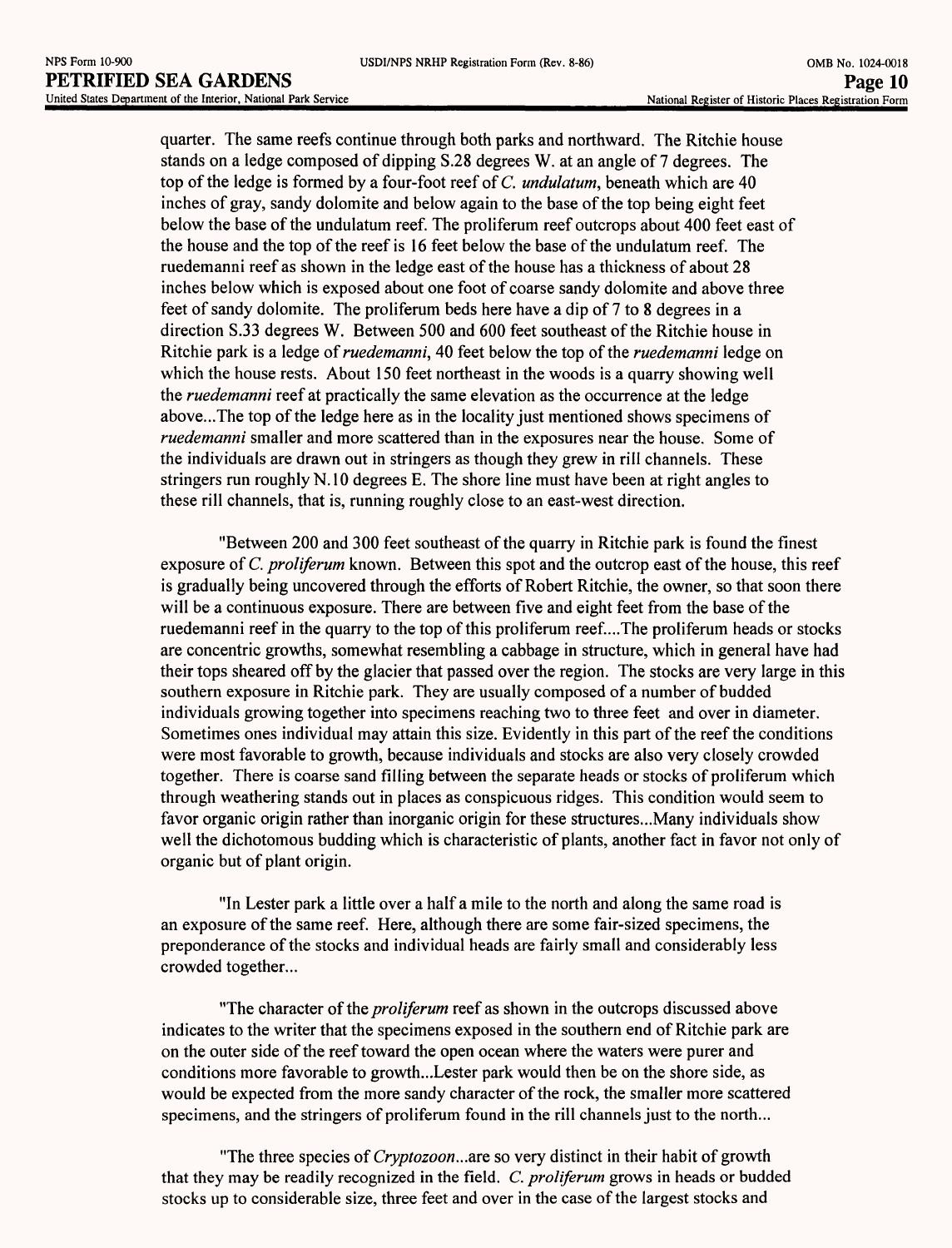quarter. The same reefs continue through both parks and northward. The Ritchie house stands on a ledge composed of dipping S.28 degrees W. at an angle of 7 degrees. The top of the ledge is formed by a four-foot reef of *C. undulatum,* beneath which are 40 inches of gray, sandy dolomite and below again to the base of the top being eight feet below the base of the undulatum reef. The proliferum reef outcrops about 400 feet east of the house and the top of the reef is 16 feet below the base of the undulatum reef. The ruedemanni reef as shown in the ledge east of the house has a thickness of about 28 inches below which is exposed about one foot of coarse sandy dolomite and above three feet of sandy dolomite. The proliferum beds here have a dip of 7 to 8 degrees in a direction S.33 degrees W. Between 500 and 600 feet southeast of the Ritchie house in Ritchie park is a ledge *of ruedemanni,* 40 feet below the top of the *ruedemanni* ledge on which the house rests. About 150 feet northeast in the woods is a quarry showing well the *ruedemanni* reef at practically the same elevation as the occurrence at the ledge above...The top of the ledge here as in the locality just mentioned shows specimens of *ruedemanni* smaller and more scattered than in the exposures near the house. Some of the individuals are drawn out in stringers as though they grew in rill channels. These stringers run roughly N.10 degrees E. The shore line must have been at right angles to these rill channels, that is, running roughly close to an east-west direction.

"Between 200 and 300 feet southeast of the quarry in Ritchie park is found the finest exposure of *C. proliferum* known. Between this spot and the outcrop east of the house, this reef is gradually being uncovered through the efforts of Robert Ritchie, the owner, so that soon there will be a continuous exposure. There are between five and eight feet from the base of the ruedemanni reef in the quarry to the top of this proliferum reef...The proliferum heads or stocks are concentric growths, somewhat resembling a cabbage in structure, which in general have had their tops sheared off by the glacier that passed over the region. The stocks are very large in this southern exposure in Ritchie park. They are usually composed of a number of budded individuals growing together into specimens reaching two to three feet and over in diameter. Sometimes ones individual may attain this size. Evidently in this part of the reef the conditions were most favorable to growth, because individuals and stocks are also very closely crowded together. There is coarse sand filling between the separate heads or stocks of proliferum which through weathering stands out in places as conspicuous ridges. This condition would seem to favor organic origin rather than inorganic origin for these structures...Many individuals show well the dichotomous budding which is characteristic of plants, another fact in favor not only of organic but of plant origin.

"In Lester park a little over a half a mile to the north and along the same road is an exposure of the same reef. Here, although there are some fair-sized specimens, the preponderance of the stocks and individual heads are fairly small and considerably less crowded together...

"The character *of the proliferum* reef as shown in the outcrops discussed above indicates to the writer that the specimens exposed in the southern end of Ritchie park are on the outer side of the reef toward the open ocean where the waters were purer and conditions more favorable to growth...Lester park would then be on the shore side, as would be expected from the more sandy character of the rock, the smaller more scattered specimens, and the stringers of proliferum found in the rill channels just to the north...

"The three species of *Cryptozoon*...are so very distinct in their habit of growth that they may be readily recognized in the field. *C. proliferum* grows in heads or budded stocks up to considerable size, three feet and over in the case of the largest stocks and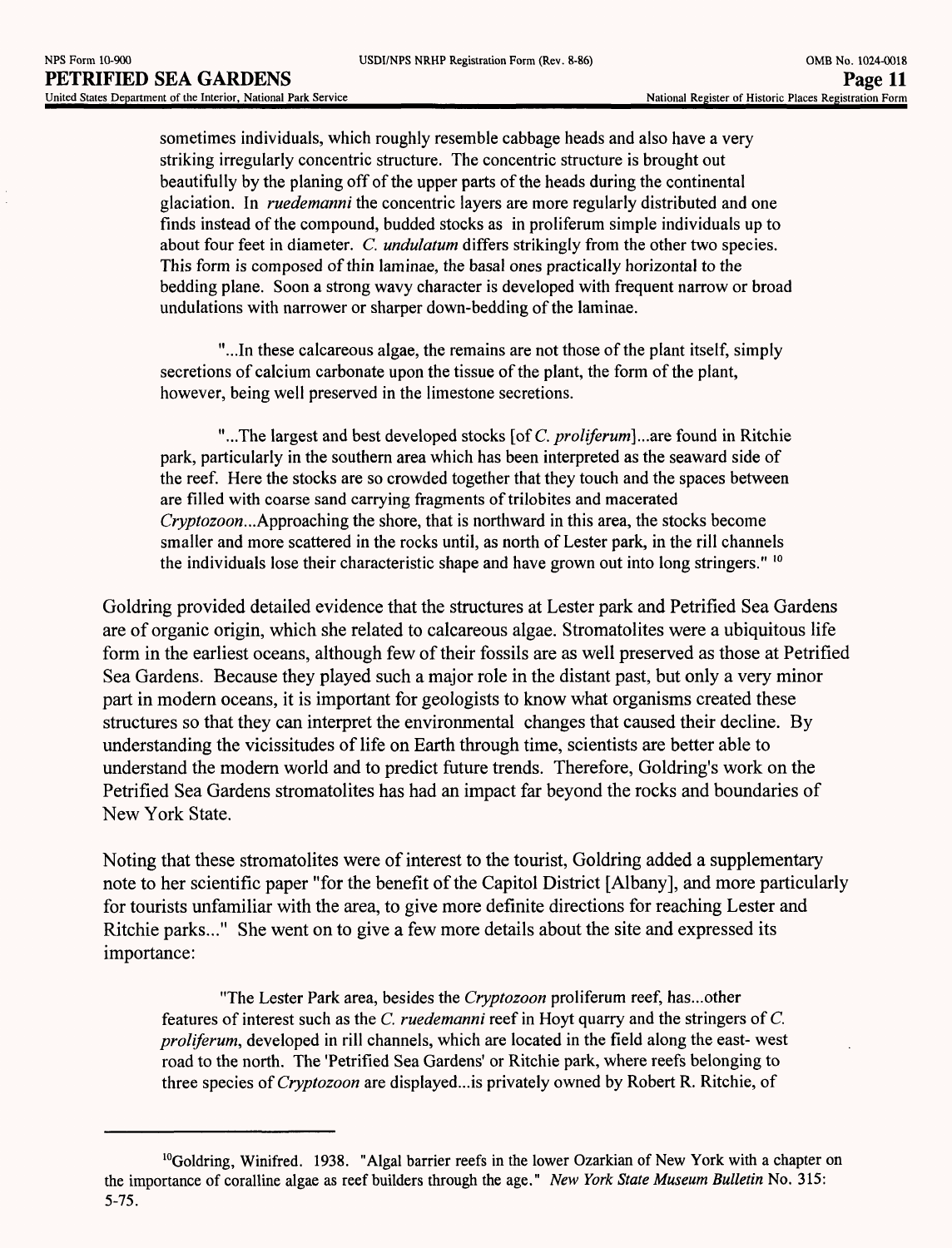sometimes individuals, which roughly resemble cabbage heads and also have a very striking irregularly concentric structure. The concentric structure is brought out beautifully by the planing off of the upper parts of the heads during the continental glaciation. In *ruedemanni* the concentric layers are more regularly distributed and one finds instead of the compound, budded stocks as in proliferum simple individuals up to about four feet in diameter. *C. undulatum* differs strikingly from the other two species. This form is composed of thin laminae, the basal ones practically horizontal to the bedding plane. Soon a strong wavy character is developed with frequent narrow or broad undulations with narrower or sharper down-bedding of the laminae.

"...In these calcareous algae, the remains are not those of the plant itself, simply secretions of calcium carbonate upon the tissue of the plant, the form of the plant, however, being well preserved in the limestone secretions.

"...The largest and best developed stocks [of C. *proliferum}...*are found in Ritchie park, particularly in the southern area which has been interpreted as the seaward side of the reef. Here the stocks are so crowded together that they touch and the spaces between are filled with coarse sand carrying fragments of trilobites and macerated *Cryptozoon...*Approaching the shore, that is northward in this area, the stocks become smaller and more scattered in the rocks until, as north of Lester park, in the rill channels the individuals lose their characteristic shape and have grown out into long stringers."  $^{10}$ 

Goldring provided detailed evidence that the structures at Lester park and Petrified Sea Gardens are of organic origin, which she related to calcareous algae. Stromatolites were a ubiquitous life form in the earliest oceans, although few of their fossils are as well preserved as those at Petrified Sea Gardens. Because they played such a major role in the distant past, but only a very minor part in modern oceans, it is important for geologists to know what organisms created these structures so that they can interpret the environmental changes that caused their decline. By understanding the vicissitudes of life on Earth through time, scientists are better able to understand the modern world and to predict future trends. Therefore, Goldring's work on the Petrified Sea Gardens stromatolites has had an impact far beyond the rocks and boundaries of New York State.

Noting that these stromatolites were of interest to the tourist, Goldring added a supplementary note to her scientific paper "for the benefit of the Capitol District [Albany], and more particularly for tourists unfamiliar with the area, to give more definite directions for reaching Lester and Ritchie parks..." She went on to give a few more details about the site and expressed its importance:

"The Lester Park area, besides the *Cryptozoon* proliferum reef, has...other features of interest such as the *C. ruedemanni* reef in Hoyt quarry and the stringers of *C. proliferum,* developed in rill channels, which are located in the field along the east- west road to the north. The 'Petrified Sea Gardens' or Ritchie park, where reefs belonging to three species *of Cryptozoon* are displayed...is privately owned by Robert R. Ritchie, of

 $10$ Goldring, Winifred. 1938. "Algal barrier reefs in the lower Ozarkian of New York with a chapter on the importance of coralline algae as reef builders through the age." *New York State Museum Bulletin* No. 315: 5-75.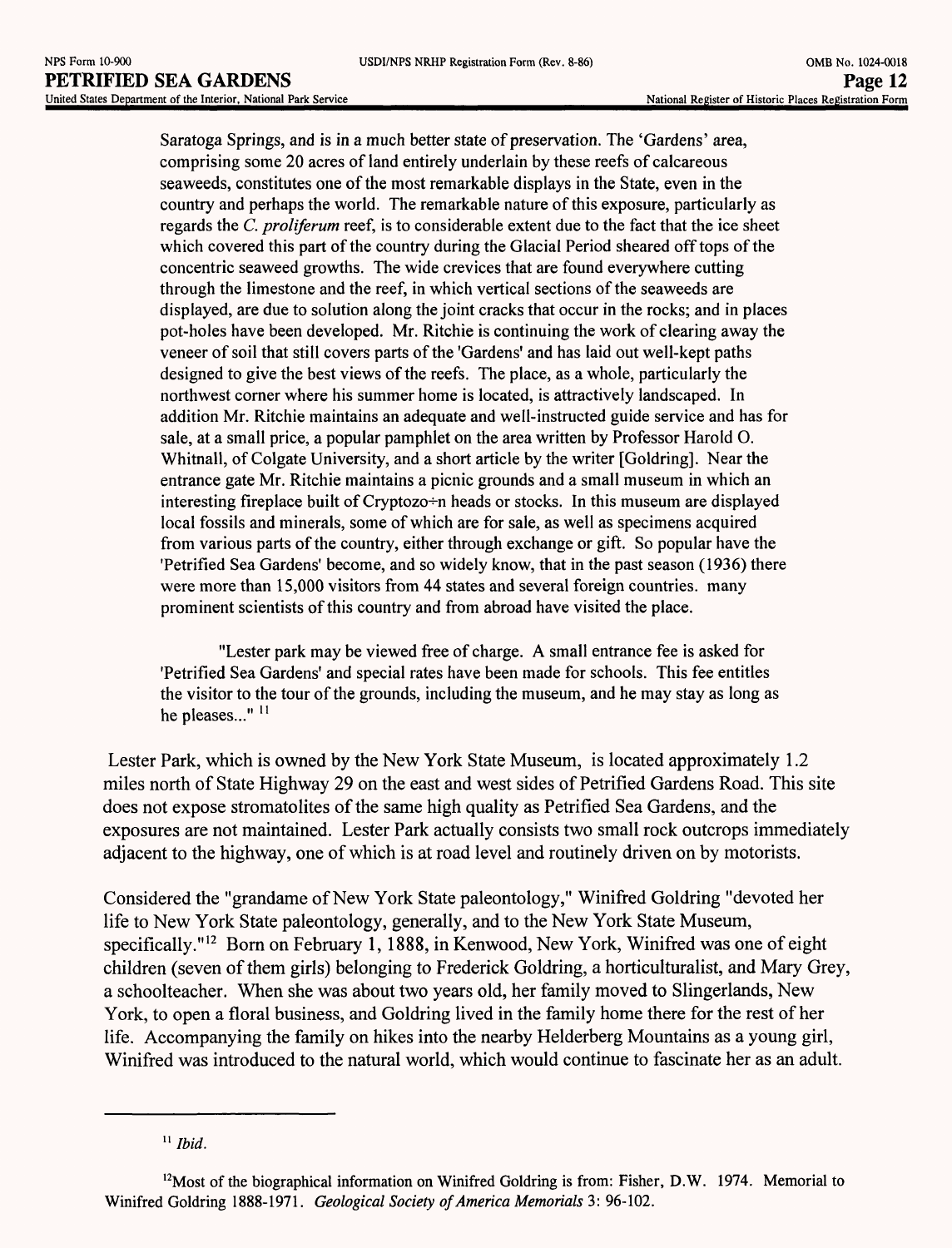Saratoga Springs, and is in a much better state of preservation. The 'Gardens' area, comprising some 20 acres of land entirely underlain by these reefs of calcareous seaweeds, constitutes one of the most remarkable displays in the State, even in the country and perhaps the world. The remarkable nature of this exposure, particularly as regards the *C. proliferwn* reef, is to considerable extent due to the fact that the ice sheet which covered this part of the country during the Glacial Period sheared off tops of the concentric seaweed growths. The wide crevices that are found everywhere cutting through the limestone and the reef, in which vertical sections of the seaweeds are displayed, are due to solution along the joint cracks that occur in the rocks; and in places pot-holes have been developed. Mr. Ritchie is continuing the work of clearing away the veneer of soil that still covers parts of the 'Gardens' and has laid out well-kept paths designed to give the best views of the reefs. The place, as a whole, particularly the northwest corner where his summer home is located, is attractively landscaped. In addition Mr. Ritchie maintains an adequate and well-instructed guide service and has for sale, at a small price, a popular pamphlet on the area written by Professor Harold O. Whitnall, of Colgate University, and a short article by the writer [Goldring]. Near the entrance gate Mr. Ritchie maintains a picnic grounds and a small museum in which an interesting fireplace built of Cryptozo $\div$ n heads or stocks. In this museum are displayed local fossils and minerals, some of which are for sale, as well as specimens acquired from various parts of the country, either through exchange or gift. So popular have the 'Petrified Sea Gardens' become, and so widely know, that in the past season (1936) there were more than 15,000 visitors from 44 states and several foreign countries, many prominent scientists of this country and from abroad have visited the place.

"Lester park may be viewed free of charge. A small entrance fee is asked for 'Petrified Sea Gardens' and special rates have been made for schools. This fee entitles the visitor to the tour of the grounds, including the museum, and he may stay as long as he pleases..." $11$ 

Lester Park, which is owned by the New York State Museum, is located approximately 1.2 miles north of State Highway 29 on the east and west sides of Petrified Gardens Road. This site does not expose stromatolites of the same high quality as Petrified Sea Gardens, and the exposures are not maintained. Lester Park actually consists two small rock outcrops immediately adjacent to the highway, one of which is at road level and routinely driven on by motorists.

Considered the "grandame of New York State paleontology," Winifred Goldring "devoted her life to New York State paleontology, generally, and to the New York State Museum, specifically."<sup>12</sup> Born on February 1, 1888, in Kenwood, New York, Winifred was one of eight children (seven of them girls) belonging to Frederick Goldring, a horticulturalist, and Mary Grey, a schoolteacher. When she was about two years old, her family moved to Slingerlands, New York, to open a floral business, and Goldring lived in the family home there for the rest of her life. Accompanying the family on hikes into the nearby Helderberg Mountains as a young girl, Winifred was introduced to the natural world, which would continue to fascinate her as an adult.

<sup>11</sup>*Ibid.*

<sup>&</sup>lt;sup>12</sup>Most of the biographical information on Winifred Goldring is from: Fisher, D.W. 1974. Memorial to Winifred Goldring 1888-1971. *Geological Society of America Memorials* 3: 96-102.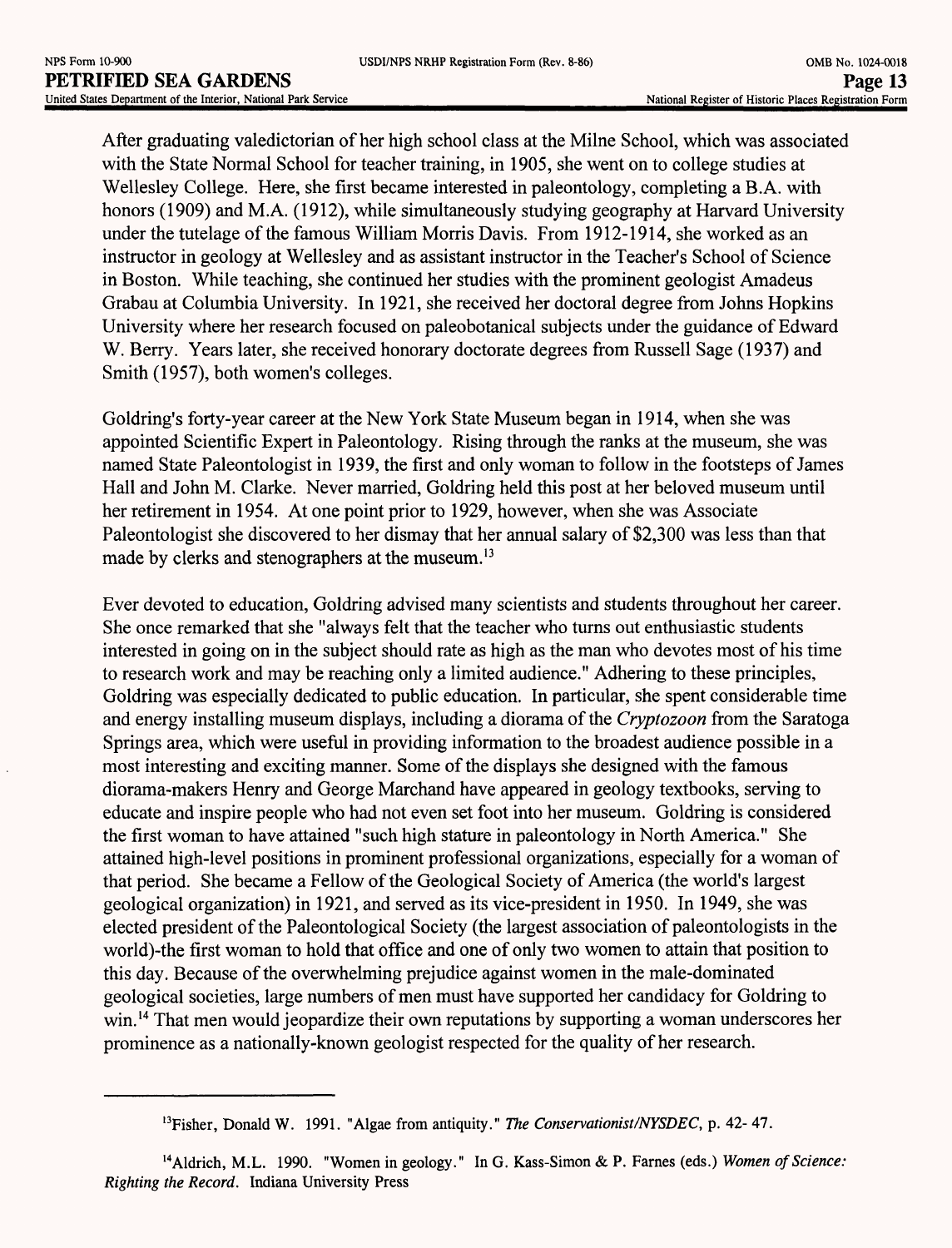After graduating valedictorian of her high school class at the Milne School, which was associated with the State Normal School for teacher training, in 1905, she went on to college studies at Wellesley College. Here, she first became interested in paleontology, completing a B.A. with honors (1909) and M.A. (1912), while simultaneously studying geography at Harvard University under the tutelage of the famous William Morris Davis. From 1912-1914, she worked as an instructor in geology at Wellesley and as assistant instructor in the Teacher's School of Science in Boston. While teaching, she continued her studies with the prominent geologist Amadeus Grabau at Columbia University. In 1921, she received her doctoral degree from Johns Hopkins University where her research focused on paleobotanical subjects under the guidance of Edward W. Berry. Years later, she received honorary doctorate degrees from Russell Sage (1937) and Smith (1957), both women's colleges.

Goldring's forty-year career at the New York State Museum began in 1914, when she was appointed Scientific Expert in Paleontology. Rising through the ranks at the museum, she was named State Paleontologist in 1939, the first and only woman to follow in the footsteps of James Hall and John M. Clarke. Never married, Goldring held this post at her beloved museum until her retirement in 1954. At one point prior to 1929, however, when she was Associate Paleontologist she discovered to her dismay that her annual salary of \$2,300 was less than that made by clerks and stenographers at the museum.<sup>13</sup>

Ever devoted to education, Goldring advised many scientists and students throughout her career. She once remarked that she "always felt that the teacher who turns out enthusiastic students interested in going on in the subject should rate as high as the man who devotes most of his time to research work and may be reaching only a limited audience." Adhering to these principles, Goldring was especially dedicated to public education. In particular, she spent considerable time and energy installing museum displays, including a diorama of the *Cryptozoon* from the Saratoga Springs area, which were useful in providing information to the broadest audience possible in a most interesting and exciting manner. Some of the displays she designed with the famous diorama-makers Henry and George Marchand have appeared in geology textbooks, serving to educate and inspire people who had not even set foot into her museum. Goldring is considered the first woman to have attained "such high stature in paleontology in North America." She attained high-level positions in prominent professional organizations, especially for a woman of that period. She became a Fellow of the Geological Society of America (the world's largest geological organization) in 1921, and served as its vice-president in 1950. In 1949, she was elected president of the Paleontological Society (the largest association of paleontologists in the world)-the first woman to hold that office and one of only two women to attain that position to this day. Because of the overwhelming prejudice against women in the male-dominated geological societies, large numbers of men must have supported her candidacy for Goldring to win.<sup>14</sup> That men would jeopardize their own reputations by supporting a woman underscores her prominence as a nationally-known geologist respected for the quality of her research.

<sup>13</sup>Fisher, Donald W. 1991. "Algae from antiquity." *The Conservationist/NYSDEC,* p. 42- 47.

<sup>14</sup>Aldrich, M.L. 1990. "Women in geology." In G. Kass-Simon *&* P. Fames (eds.) *Women of Science: Righting the Record.* Indiana University Press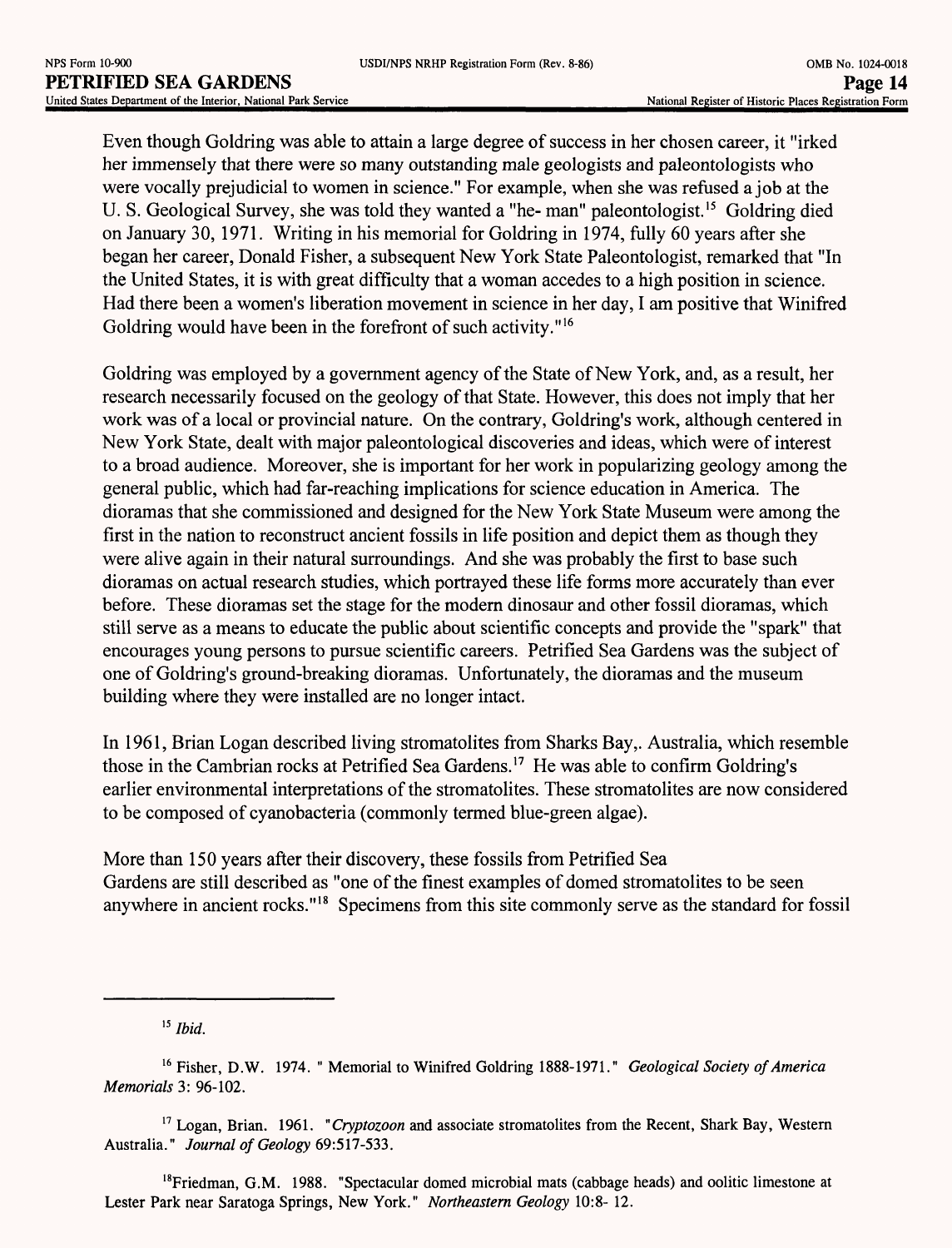Even though Goldring was able to attain a large degree of success in her chosen career, it "irked her immensely that there were so many outstanding male geologists and paleontologists who were vocally prejudicial to women in science." For example, when she was refused a job at the U. S. Geological Survey, she was told they wanted a "he- man" paleontologist.<sup>15</sup> Goldring died on January 30, 1971. Writing in his memorial for Goldring in 1974, fully 60 years after she began her career, Donald Fisher, a subsequent New York State Paleontologist, remarked that "In the United States, it is with great difficulty that a woman accedes to a high position in science. Had there been a women's liberation movement in science in her day, I am positive that Winifred Goldring would have been in the forefront of such activity."<sup>16</sup>

Goldring was employed by a government agency of the State of New York, and, as a result, her research necessarily focused on the geology of that State. However, this does not imply that her work was of a local or provincial nature. On the contrary, Goldring's work, although centered in New York State, dealt with major paleontological discoveries and ideas, which were of interest to a broad audience. Moreover, she is important for her work in popularizing geology among the general public, which had far-reaching implications for science education in America. The dioramas that she commissioned and designed for the New York State Museum were among the first in the nation to reconstruct ancient fossils in life position and depict them as though they were alive again in their natural surroundings. And she was probably the first to base such dioramas on actual research studies, which portrayed these life forms more accurately than ever before. These dioramas set the stage for the modern dinosaur and other fossil dioramas, which still serve as a means to educate the public about scientific concepts and provide the "spark" that encourages young persons to pursue scientific careers. Petrified Sea Gardens was the subject of one of Goldring's ground-breaking dioramas. Unfortunately, the dioramas and the museum building where they were installed are no longer intact.

In 1961, Brian Logan described living stromatolites from Sharks Bay,. Australia, which resemble those in the Cambrian rocks at Petrified Sea Gardens. 17 He was able to confirm Goldring's earlier environmental interpretations of the stromatolites. These stromatolites are now considered to be composed of cyanobacteria (commonly termed blue-green algae).

More than 150 years after their discovery, these fossils from Petrified Sea Gardens are still described as "one of the finest examples of domed stromatolites to be seen anywhere in ancient rocks." 18 Specimens from this site commonly serve as the standard for fossil

<sup>15</sup>*Ibid.*

<sup>16</sup> Fisher, D.W. 1974. " Memorial to Winifred Goldring 1888-1971." *Geological Society of America Memorials* 3: 96-102.

<sup>17</sup> Logan, Brian. 1961. *"Cryptozoon* and associate stromatolites from the Recent, Shark Bay, Western Australia." *Journal of Geology* 69:517-533.

<sup>&</sup>lt;sup>18</sup>Friedman, G.M. 1988. "Spectacular domed microbial mats (cabbage heads) and oolitic limestone at Lester Park near Saratoga Springs, New York." *Northeastern Geology* 10:8- 12.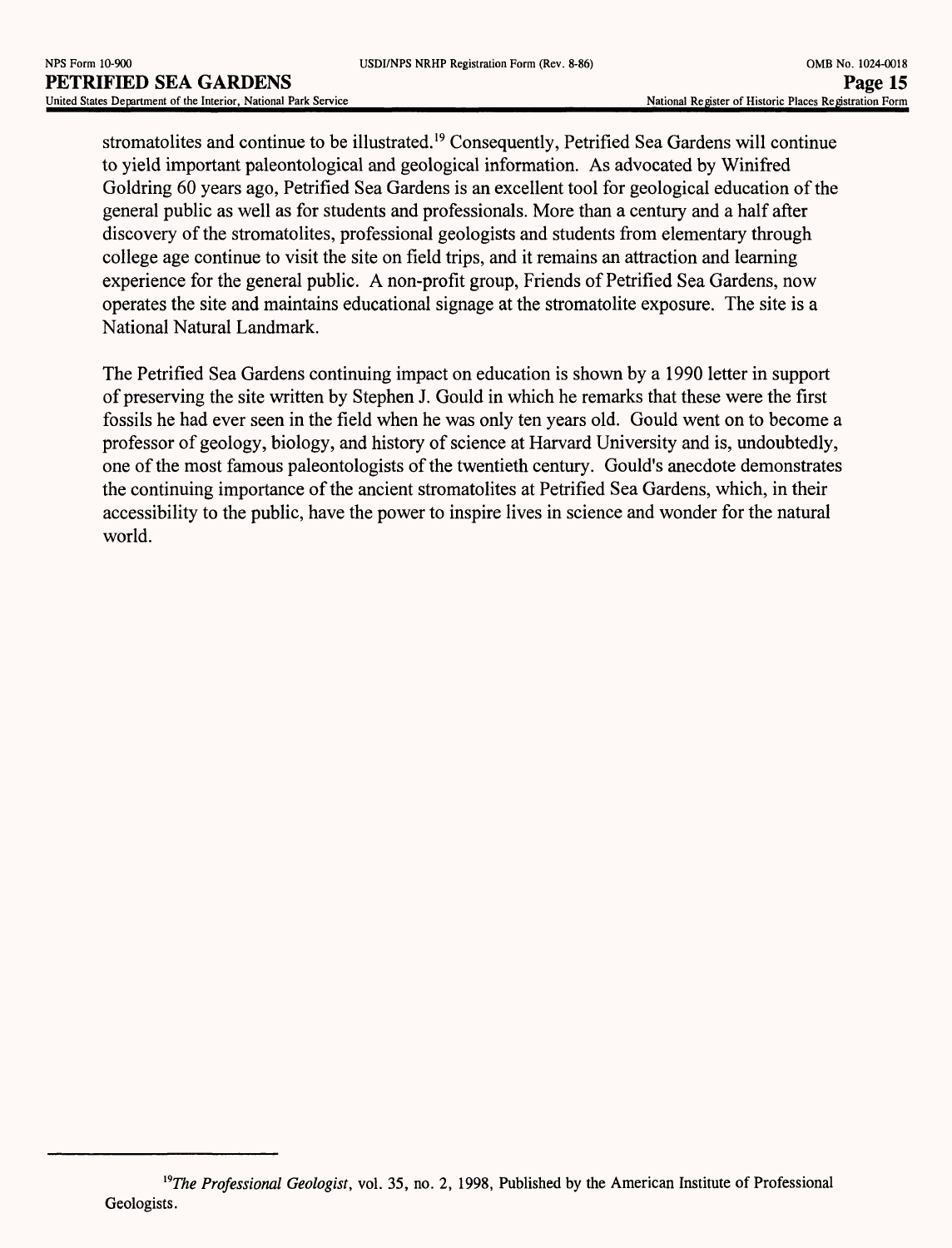stromatolites and continue to be illustrated. 19 Consequently, Petrified Sea Gardens will continue to yield important paleontological and geological information. As advocated by Winifred Goldring 60 years ago, Petrified Sea Gardens is an excellent tool for geological education of the general public as well as for students and professionals. More than a century and a half after discovery of the stromatolites, professional geologists and students from elementary through college age continue to visit the site on field trips, and it remains an attraction and learning experience for the general public. A non-profit group, Friends of Petrified Sea Gardens, now operates the site and maintains educational signage at the stromatolite exposure. The site is a National Natural Landmark.

The Petrified Sea Gardens continuing impact on education is shown by a 1990 letter in support of preserving the site written by Stephen J. Gould in which he remarks that these were the first fossils he had ever seen in the field when he was only ten years old. Gould went on to become a professor of geology, biology, and history of science at Harvard University and is, undoubtedly, one of the most famous paleontologists of the twentieth century. Gould's anecdote demonstrates the continuing importance of the ancient stromatolites at Petrified Sea Gardens, which, in their accessibility to the public, have the power to inspire lives in science and wonder for the natural world.

*l9The Professional Geologist,* vol. 35, no. 2, 1998, Published by the American Institute of Professional Geologists.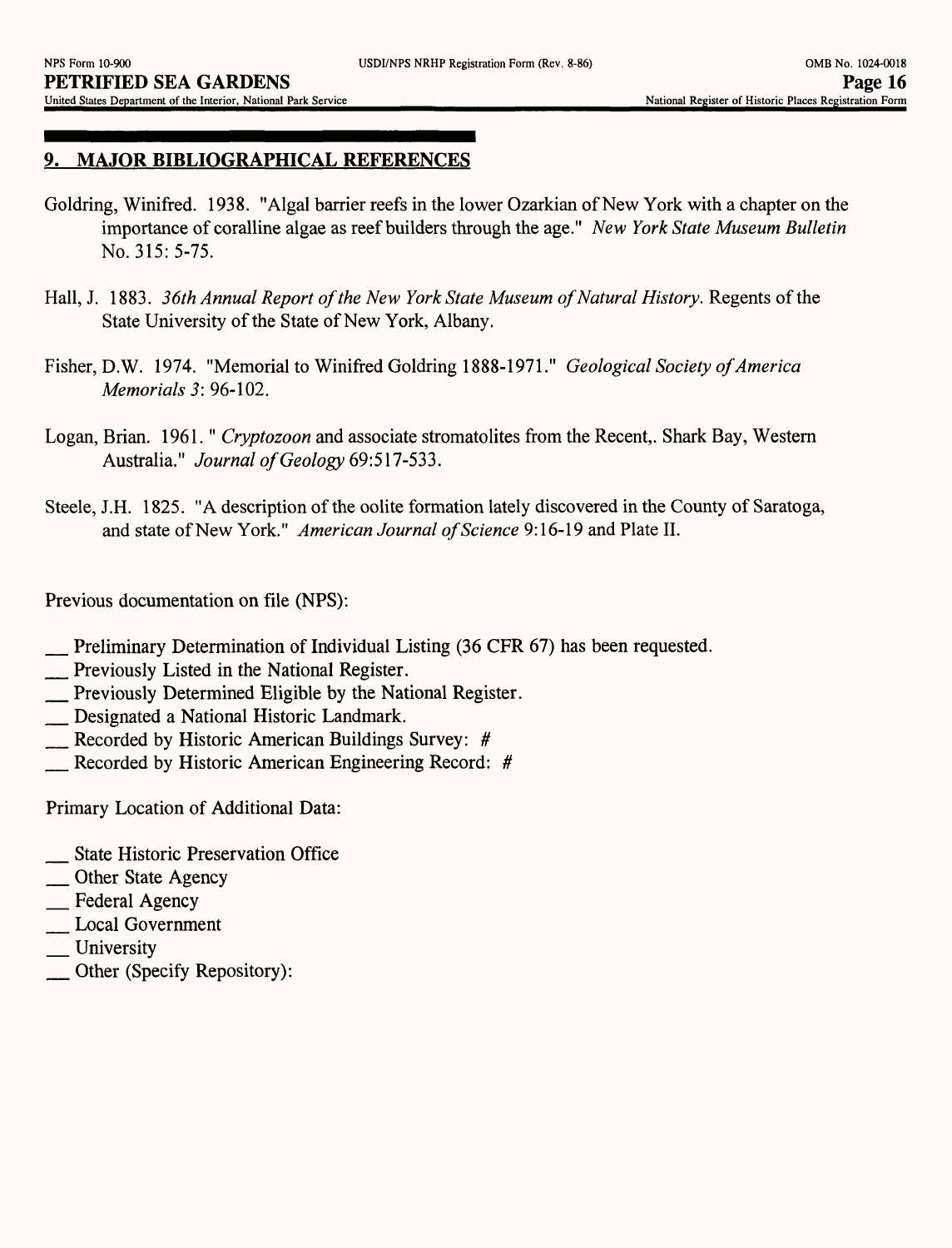#### *9.* **MAJOR BIBLIOGRAPHICAL REFERENCES**

- Goldring, Winifred. 1938. "Algal barrier reefs in the lower Ozarkian of New York with a chapter on the importance of coralline algae as reef builders through the age." *New York State Museum Bulletin*  No. 315: 5-75.
- Hall, J. 1883. 36th Annual Report of the New York State Museum of Natural History. Regents of the State University of the State of New York, Albany.
- Fisher, D.W. 1974. "Memorial to Winifred Goldring 1888-1971." *Geological Society of America Memorials 3:* 96-102.
- Logan, Brian. 1961." *Cryptozoon* and associate stromatolites from the Recent,. Shark Bay, Western Australia." *Journal of Geology* 69:517-533.
- Steele, J.H. 1825. "A description of the oolite formation lately discovered in the County of Saratoga, and state of New York." *American Journal of Science* 9:16-19 and Plate II.

Previous documentation on file (NPS):

- \_ Preliminary Determination of Individual Listing (36 CFR 67) has been requested.
- **Exercicle Islands** Previously Listed in the National Register.
- \_ Previously Determined Eligible by the National Register.
- \_ Designated a National Historic Landmark.
- Recorded by Historic American Buildings Survey: #
- \_ Recorded by Historic American Engineering Record: *#*

Primary Location of Additional Data:

- \_ State Historic Preservation Office
- \_\_ Other State Agency
- \_\_ Federal Agency
- \_ Local Government
- University
- \_ Other (Specify Repository):